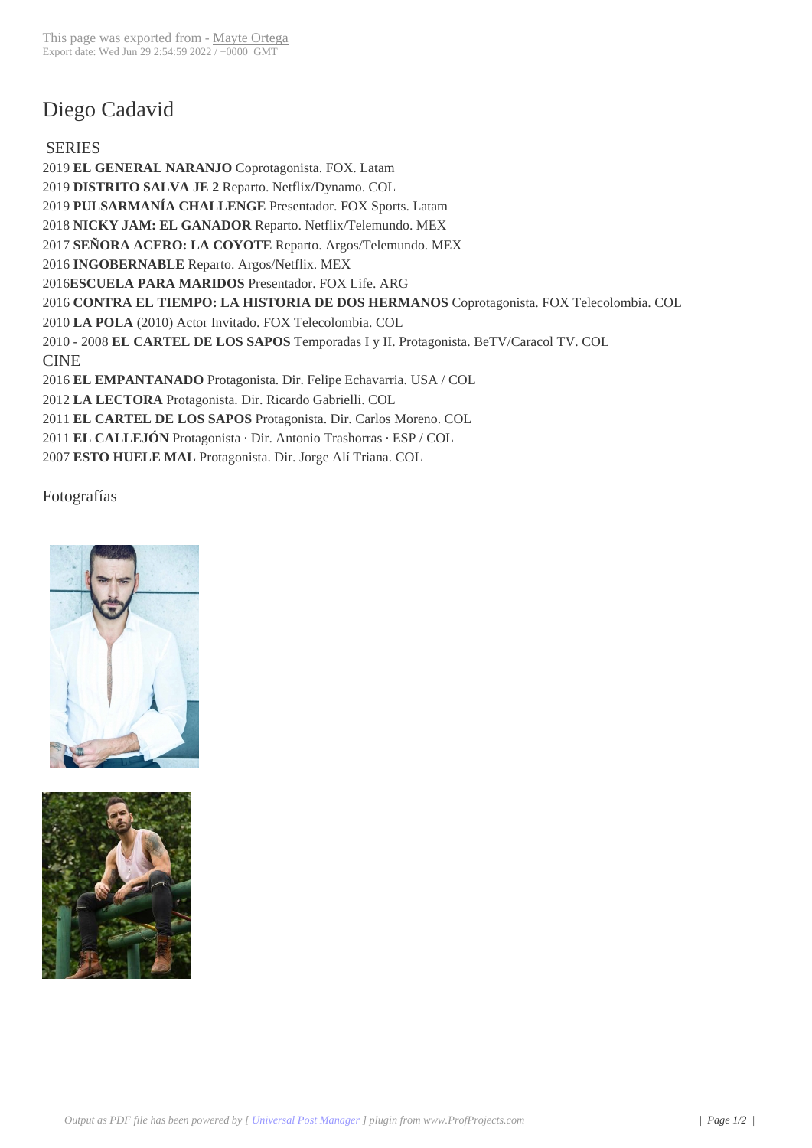## Diego Cadavid

SERIES **EL GENERAL NARANJO** Coprotagonista. FOX. Latam **DISTRITO SALVA JE 2** Reparto. Netflix/Dynamo. COL **PULSARMANÍA CHALLENGE** Presentador. FOX Sports. Latam **NICKY JAM: EL GANADOR** Reparto. Netflix/Telemundo. MEX **SEÑORA ACERO: LA COYOTE** Reparto. Argos/Telemundo. MEX **INGOBERNABLE** Reparto. Argos/Netflix. MEX **ESCUELA PARA MARIDOS** Presentador. FOX Life. ARG **CONTRA EL TIEMPO: LA HISTORIA DE DOS HERMANOS** Coprotagonista. FOX Telecolombia. COL **LA POLA** (2010) Actor Invitado. FOX Telecolombia. COL 2010 - 2008 **EL CARTEL DE LOS SAPOS** Temporadas I y II. Protagonista. BeTV/Caracol TV. COL CINE **EL EMPANTANADO** Protagonista. Dir. Felipe Echavarria. USA / COL **LA LECTORA** Protagonista. Dir. Ricardo Gabrielli. COL **EL CARTEL DE LOS SAPOS** Protagonista. Dir. Carlos Moreno. COL **EL CALLEJÓN** Protagonista · Dir. Antonio Trashorras · ESP / COL **ESTO HUELE MAL** Protagonista. Dir. Jorge Alí Triana. COL

Fotografías